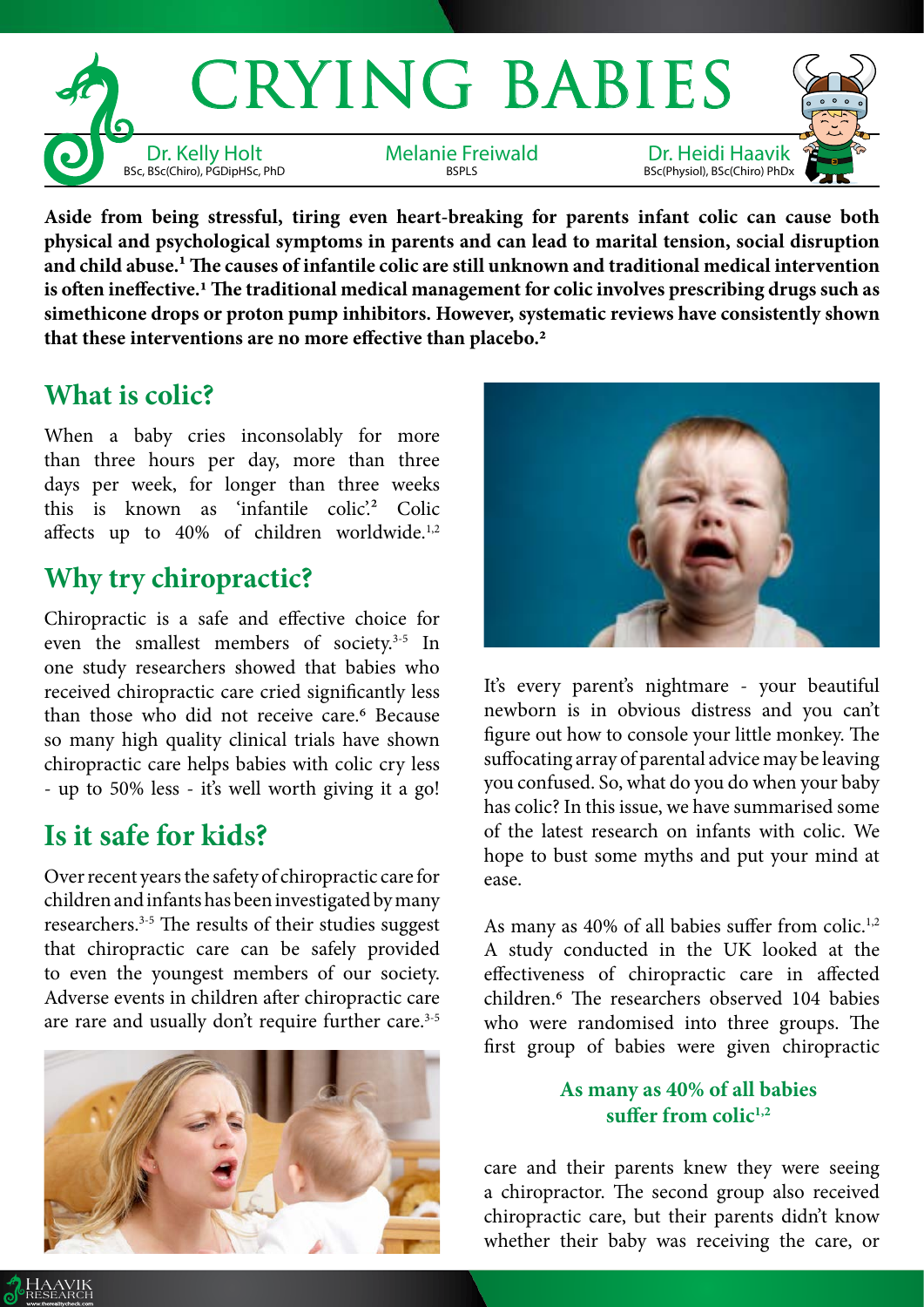

**Aside from being stressful, tiring even heart-breaking for parents infant colic can cause both physical and psychological symptoms in parents and can lead to marital tension, social disruption and child abuse.1 The causes of infantile colic are still unknown and traditional medical intervention is often ineffective.1 The traditional medical management for colic involves prescribing drugs such as simethicone drops or proton pump inhibitors. However, systematic reviews have consistently shown that these interventions are no more effective than placebo.2**

### **What is colic?**

When a baby cries inconsolably for more than three hours per day, more than three days per week, for longer than three weeks this is known as 'infantile colic'.<sup>2</sup> Colic affects up to 40% of children worldwide.<sup>1,2</sup>

# **Why try chiropractic?**

Chiropractic is a safe and effective choice for even the smallest members of society.<sup>3-5</sup> In one study researchers showed that babies who received chiropractic care cried significantly less than those who did not receive care.<sup>6</sup> Because so many high quality clinical trials have shown chiropractic care helps babies with colic cry less - up to 50% less - it's well worth giving it a go!

# **Is it safe for kids?**

Over recent years the safety of chiropractic care for children and infants has been investigated by many researchers.3-5 The results of their studies suggest that chiropractic care can be safely provided to even the youngest members of our society. Adverse events in children after chiropractic care are rare and usually don't require further care.<sup>3-5</sup>





It's every parent's nightmare - your beautiful newborn is in obvious distress and you can't figure out how to console your little monkey. The suffocating array of parental advice may be leaving you confused. So, what do you do when your baby has colic? In this issue, we have summarised some of the latest research on infants with colic. We hope to bust some myths and put your mind at ease.

As many as 40% of all babies suffer from colic.<sup>1,2</sup> A study conducted in the UK looked at the effectiveness of chiropractic care in affected children.6 The researchers observed 104 babies who were randomised into three groups. The first group of babies were given chiropractic

#### **As many as 40% of all babies**  suffer from colic<sup>1,2</sup>

care and their parents knew they were seeing a chiropractor. The second group also received chiropractic care, but their parents didn't know whether their baby was receiving the care, or